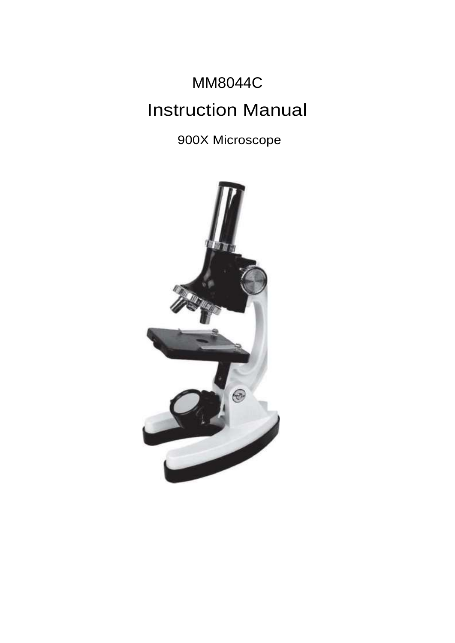# MM8044C Instruction Manual

900X Microscope

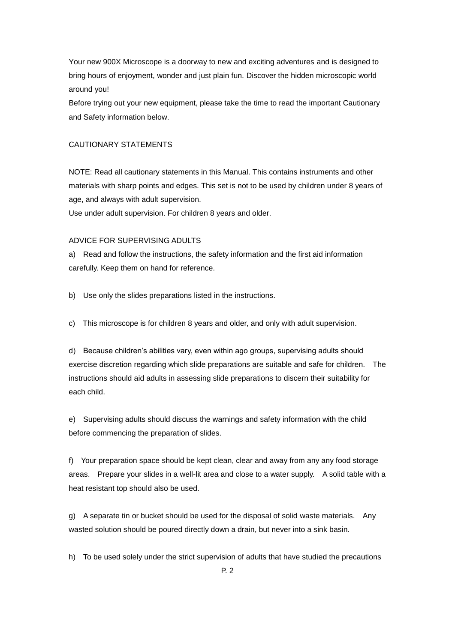Your new 900X Microscope is a doorway to new and exciting adventures and is designed to bring hours of enjoyment, wonder and just plain fun. Discover the hidden microscopic world around you!

Before trying out your new equipment, please take the time to read the important Cautionary and Safety information below.

# CAUTIONARY STATEMENTS

NOTE: Read all cautionary statements in this Manual. This contains instruments and other materials with sharp points and edges. This set is not to be used by children under 8 years of age, and always with adult supervision.

Use under adult supervision. For children 8 years and older.

# ADVICE FOR SUPERVISING ADULTS

a) Read and follow the instructions, the safety information and the first aid information carefully. Keep them on hand for reference.

b) Use only the slides preparations listed in the instructions.

c) This microscope is for children 8 years and older, and only with adult supervision.

d) Because children's abilities vary, even within ago groups, supervising adults should exercise discretion regarding which slide preparations are suitable and safe for children. The instructions should aid adults in assessing slide preparations to discern their suitability for each child.

e) Supervising adults should discuss the warnings and safety information with the child before commencing the preparation of slides.

f) Your preparation space should be kept clean, clear and away from any any food storage areas. Prepare your slides in a well-lit area and close to a water supply. A solid table with a heat resistant top should also be used.

g) A separate tin or bucket should be used for the disposal of solid waste materials. Any wasted solution should be poured directly down a drain, but never into a sink basin.

h) To be used solely under the strict supervision of adults that have studied the precautions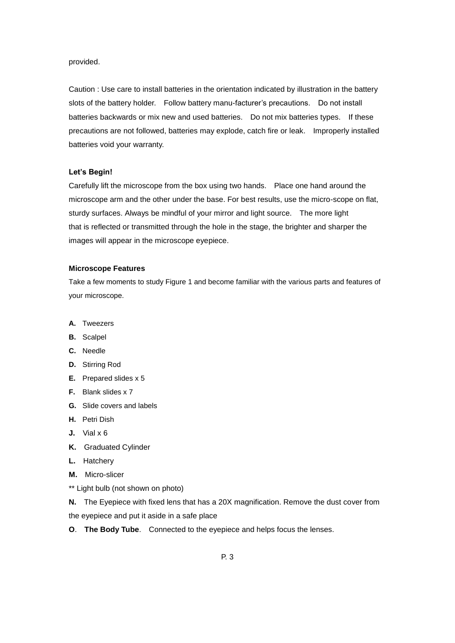#### provided.

Caution : Use care to install batteries in the orientation indicated by illustration in the battery slots of the battery holder. Follow battery manu-facturer's precautions. Do not install batteries backwards or mix new and used batteries. Do not mix batteries types. If these precautions are not followed, batteries may explode, catch fire or leak. Improperly installed batteries void your warranty.

# **Let's Begin!**

Carefully lift the microscope from the box using two hands. Place one hand around the microscope arm and the other under the base. For best results, use the micro-scope on flat, sturdy surfaces. Always be mindful of your mirror and light source. The more light that is reflected or transmitted through the hole in the stage, the brighter and sharper the images will appear in the microscope eyepiece.

## **Microscope Features**

Take a few moments to study Figure 1 and become familiar with the various parts and features of your microscope.

- **A.** Tweezers
- **B.** Scalpel
- **C.** Needle
- **D.** Stirring Rod
- **E.** Prepared slides x 5
- **F.** Blank slides x 7
- **G.** Slide covers and labels
- **H.** Petri Dish
- **J.** Vial x 6
- **K.** Graduated Cylinder
- **L.** Hatchery
- **M.** Micro-slicer
- \*\* Light bulb (not shown on photo)

**N.** The Eyepiece with fixed lens that has a 20X magnification. Remove the dust cover from the eyepiece and put it aside in a safe place

**O**. **The Body Tube**. Connected to the eyepiece and helps focus the lenses.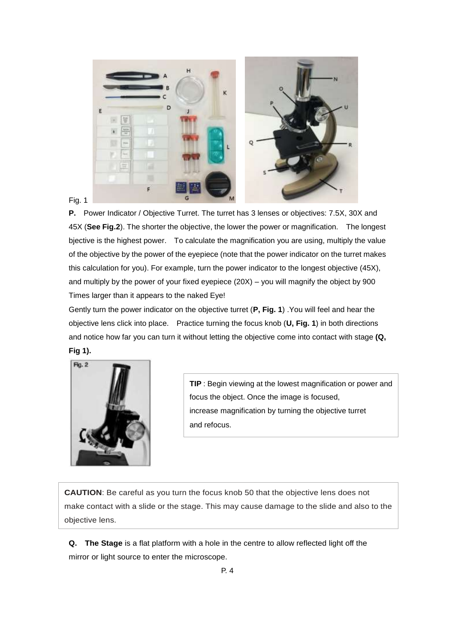

**P.** Power Indicator / Objective Turret. The turret has 3 lenses or objectives: 7.5X, 30X and 45X (**See Fig.2**). The shorter the objective, the lower the power or magnification. The longest bjective is the highest power. To calculate the magnification you are using, multiply the value of the objective by the power of the eyepiece (note that the power indicator on the turret makes this calculation for you). For example, turn the power indicator to the longest objective (45X), and multiply by the power of your fixed eyepiece (20X) – you will magnify the object by 900 Times larger than it appears to the naked Eye!

Gently turn the power indicator on the objective turret (**P, Fig. 1**) .You will feel and hear the objective lens click into place. Practice turning the focus knob (**U, Fig. 1**) in both directions and notice how far you can turn it without letting the objective come into contact with stage **(Q, Fig 1).**



**TIP** : Begin viewing at the lowest magnification or power and focus the object. Once the image is focused, increase magnification by turning the objective turret and refocus.

**CAUTION**: Be careful as you turn the focus knob 50 that the objective lens does not make contact with a slide or the stage. This may cause damage to the slide and also to the objective lens.

**Q. The Stage** is a flat platform with a hole in the centre to allow reflected light off the mirror or light source to enter the microscope.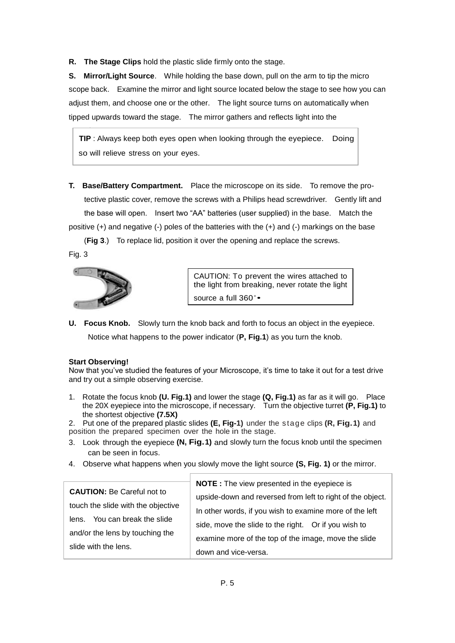**R. The Stage Clips** hold the plastic slide firmly onto the stage.

**S. Mirror/Light Source**. While holding the base down, pull on the arm to tip the micro scope back. Examine the mirror and light source located below the stage to see how you can adjust them, and choose one or the other. The light source turns on automatically when tipped upwards toward the stage. The mirror gathers and reflects light into the

**TIP** : Always keep both eyes open when looking through the eyepiece. Doing so will relieve stress on your eyes.

**T. Base/Battery Compartment.** Place the microscope on its side. To remove the pro tective plastic cover, remove the screws with a Philips head screwdriver. Gently lift and the base will open. Insert two "AA" batteries (user supplied) in the base. Match the positive (+) and negative (-) poles of the batteries with the (+) and (-) markings on the base

 (**Fig 3**.) To replace lid, position it over the opening and replace the screws. Fig. 3



microscope.

CAUTION: To prevent the wires attached to the light from breaking, never rotate the light source a full 360 ∘•

**U. Focus Knob.** Slowly turn the knob back and forth to focus an object in the eyepiece. Notice what happens to the power indicator (**P, Fig.1**) as you turn the knob.

# **Start Observing!**

Now that you've studied the features of your Microscope, it's time to take it out for a test drive and try out a simple observing exercise.

- 1. Rotate the focus knob **(U. Fig.1)** and lower the stage **(Q, Fig.1)** as far as it will go. Place the 20X eyepiece into the microscope, if necessary. Turn the objective turret **(P, Fig.1)** to the shortest objective **(7.5X)**
- 2. Put one of the prepared plastic slides **(E, Fig-1)** under the stage clips **(R, Fig.1)** and position the prepared specimen over the hole in the stage.
- 3. Look through the eyepiece **(N, Fig.1)** and slowly turn the focus knob until the specimen can be seen in focus.
- 4. Observe what happens when you slowly move the light source **(S, Fig. 1)** or the mirror.

| <b>CAUTION: Be Careful not to</b>  | <b>NOTE</b> : The view presented in the eyepiece is        |
|------------------------------------|------------------------------------------------------------|
|                                    | upside-down and reversed from left to right of the object. |
| touch the slide with the objective | In other words, if you wish to examine more of the left    |
| lens. You can break the slide      | side, move the slide to the right. Or if you wish to       |
| and/or the lens by touching the    | examine more of the top of the image, move the slide       |
| slide with the lens.               |                                                            |
|                                    | down and vice-versa.                                       |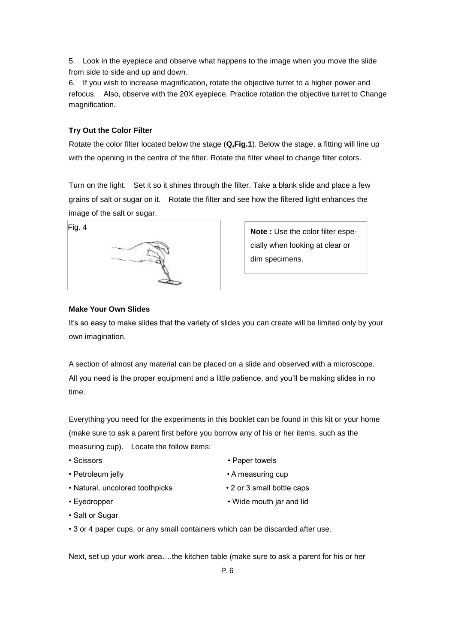5. Look in the eyepiece and observe what happens to the image when you move the slide from side to side and up and down.

6. If you wish to increase magnification, rotate the objective turret to a higher power and refocus. Also, observe with the 20X eyepiece. Practice rotation the objective turret to Change magnification.

# **Try Out the Color Filter**

Rotate the color filter located below the stage (**Q,Fig.1**). Below the stage, a fitting will line up with the opening in the centre of the filter. Rotate the filter wheel to change filter colors.

Turn on the light. Set it so it shines through the filter. Take a blank slide and place a few grains of salt or sugar on it. Rotate the filter and see how the filtered light enhances the image of the salt or sugar.



**Note :** Use the color filter especially when looking at clear or dim specimens.

# **Make Your Own Slides**

It's so easy to make slides that the variety of slides you can create will be limited only by your own imagination.

A section of almost any material can be placed on a slide and observed with a microscope. All you need is the proper equipment and a little patience, and you'll be making slides in no time.

Everything you need for the experiments in this booklet can be found in this kit or your home (make sure to ask a parent first before you borrow any of his or her items, such as the measuring cup). Locate the follow items:

- 
- 
- Natural, uncolored toothpicks 2 or 3 small bottle caps
- 
- Scissors Paper towels
- Petroleum jelly  **A measuring cup** 
	-
- Eyedropper Wide mouth jar and lid
- Salt or Sugar
- 3 or 4 paper cups, or any small containers which can be discarded after use.

Next, set up your work area….the kitchen table (make sure to ask a parent for his or her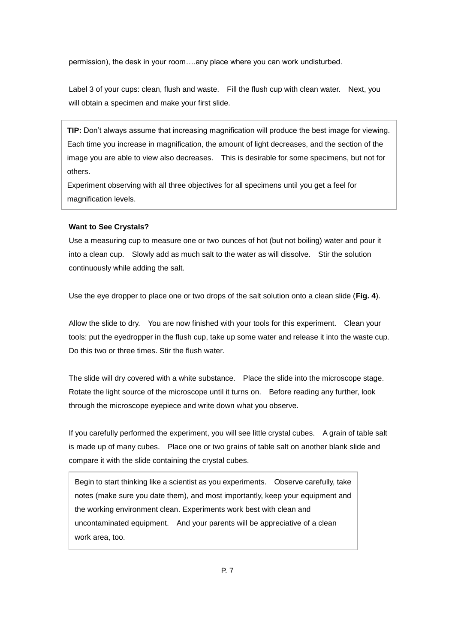permission), the desk in your room….any place where you can work undisturbed.

Label 3 of your cups: clean, flush and waste. Fill the flush cup with clean water. Next, you will obtain a specimen and make your first slide.

**TIP:** Don't always assume that increasing magnification will produce the best image for viewing. Each time you increase in magnification, the amount of light decreases, and the section of the image you are able to view also decreases. This is desirable for some specimens, but not for others.

Experiment observing with all three objectives for all specimens until you get a feel for magnification levels.

#### **Want to See Crystals?**

Use a measuring cup to measure one or two ounces of hot (but not boiling) water and pour it into a clean cup. Slowly add as much salt to the water as will dissolve. Stir the solution continuously while adding the salt.

Use the eye dropper to place one or two drops of the salt solution onto a clean slide (**Fig. 4**).

Allow the slide to dry. You are now finished with your tools for this experiment. Clean your tools: put the eyedropper in the flush cup, take up some water and release it into the waste cup. Do this two or three times. Stir the flush water.

The slide will dry covered with a white substance. Place the slide into the microscope stage. Rotate the light source of the microscope until it turns on. Before reading any further, look through the microscope eyepiece and write down what you observe.

If you carefully performed the experiment, you will see little crystal cubes. A grain of table salt is made up of many cubes. Place one or two grains of table salt on another blank slide and compare it with the slide containing the crystal cubes.

Begin to start thinking like a scientist as you experiments. Observe carefully, take notes (make sure you date them), and most importantly, keep your equipment and the working environment clean. Experiments work best with clean and uncontaminated equipment. And your parents will be appreciative of a clean work area, too.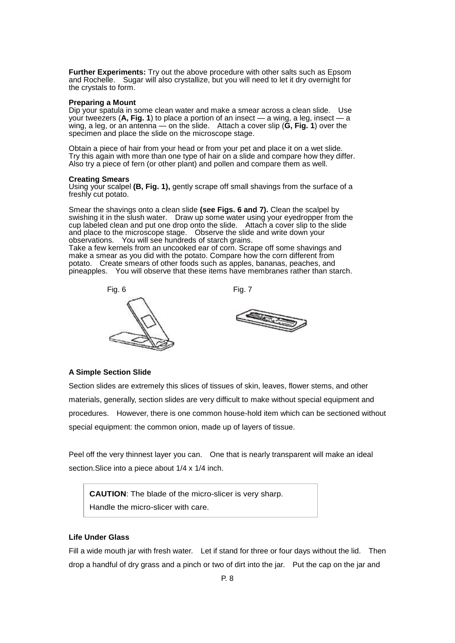**Further Experiments:** Try out the above procedure with other salts such as Epsom and Rochelle. Sugar will also crystallize, but you will need to let it dry overnight for the crystals to form.

#### **Preparing a Mount**

Dip your spatula in some clean water and make a smear across a clean slide. Use your tweezers (**A, Fig. 1**) to place a portion of an insect — a wing, a leg, insect — a wing, a leg, or an antenna — on the slide. Attach a cover slip (**G, Fig. 1**) over the specimen and place the slide on the microscope stage.

Obtain a piece of hair from your head or from your pet and place it on a wet slide. Try this again with more than one type of hair on a slide and compare how they differ. Also try a piece of fern (or other plant) and pollen and compare them as well.

#### **Creating Smears**

Using your scalpel (B, Fig. 1), gently scrape off small shavings from the surface of a freshly cut potato.

Smear the shavings onto a clean slide **(see Figs. 6 and 7).** Clean the scalpel by swishing it in the slush water. Draw up some water using your eyedropper from the cup labeled clean and put one drop onto the slide. Attach a cover slip to the slide and place to the microscope stage. Observe the slide and write down your observations. You will see hundreds of starch grains. Take a few kernels from an uncooked ear of corn. Scrape off some shavings and make a smear as you did with the potato. Compare how the corn different from

potato. Create smears of other foods such as apples, bananas, peaches, and pineapples. You will observe that these items have membranes rather than starch.



## **A Simple Section Slide**

Section slides are extremely this slices of tissues of skin, leaves, flower stems, and other materials, generally, section slides are very difficult to make without special equipment and procedures. However, there is one common house-hold item which can be sectioned without special equipment: the common onion, made up of layers of tissue.

Peel off the very thinnest layer you can. One that is nearly transparent will make an ideal section. Slice into a piece about  $1/4 \times 1/4$  inch.

**CAUTION**: The blade of the micro-slicer is very sharp. Handle the micro-slicer with care.

## **Life Under Glass**

Fill a wide mouth jar with fresh water. Let if stand for three or four days without the lid. Then drop a handful of dry grass and a pinch or two of dirt into the jar. Put the cap on the jar and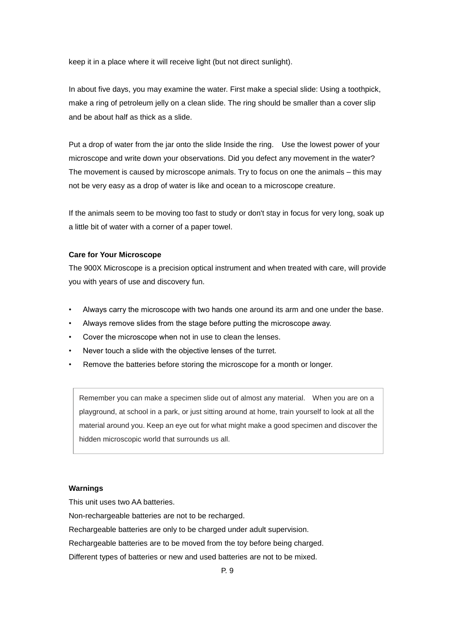keep it in a place where it will receive light (but not direct sunlight).

In about five days, you may examine the water. First make a special slide: Using a toothpick, make a ring of petroleum jelly on a clean slide. The ring should be smaller than a cover slip and be about half as thick as a slide.

Put a drop of water from the jar onto the slide Inside the ring. Use the lowest power of your microscope and write down your observations. Did you defect any movement in the water? The movement is caused by microscope animals. Try to focus on one the animals – this may not be very easy as a drop of water is like and ocean to a microscope creature.

If the animals seem to be moving too fast to study or don't stay in focus for very long, soak up a little bit of water with a corner of a paper towel.

## **Care for Your Microscope**

The 900X Microscope is a precision optical instrument and when treated with care, will provide you with years of use and discovery fun.

- Always carry the microscope with two hands one around its arm and one under the base.
- Always remove slides from the stage before putting the microscope away.
- Cover the microscope when not in use to clean the lenses.
- Never touch a slide with the objective lenses of the turret.
- Remove the batteries before storing the microscope for a month or longer.

Remember you can make a specimen slide out of almost any material. When you are on a playground, at school in a park, or just sitting around at home, train yourself to look at all the material around you. Keep an eye out for what might make a good specimen and discover the hidden microscopic world that surrounds us all.

# **Warnings**

This unit uses two AA batteries.

Non-rechargeable batteries are not to be recharged.

Rechargeable batteries are only to be charged under adult supervision.

Rechargeable batteries are to be moved from the toy before being charged.

Different types of batteries or new and used batteries are not to be mixed.